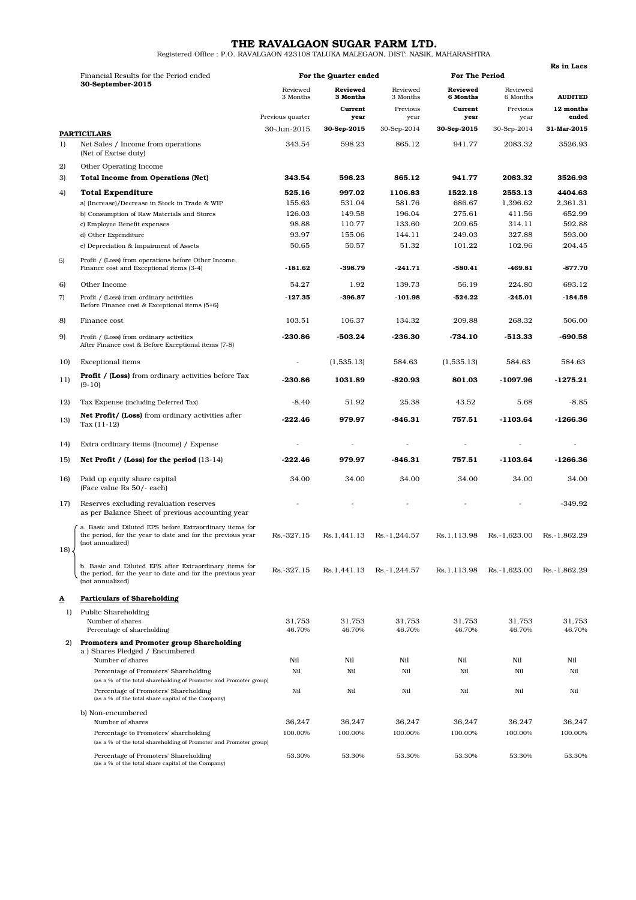THE RAVALGAON SUGAR FARM LTD.<br>Registered Office : P.O. RAVALGAON 423108 TALUKA MALEGAON, DIST: NASIK, MAHARASHTRA

|     |                                                                                                                                                                  |                       |                             |                           |                             |                             | <b>Rs</b> in Lacs  |
|-----|------------------------------------------------------------------------------------------------------------------------------------------------------------------|-----------------------|-----------------------------|---------------------------|-----------------------------|-----------------------------|--------------------|
|     | Financial Results for the Period ended                                                                                                                           | For the Quarter ended |                             |                           | <b>For The Period</b>       |                             |                    |
|     | 30-September-2015                                                                                                                                                | Reviewed<br>3 Months  | <b>Reviewed</b><br>3 Months | Reviewed<br>3 Months      | <b>Reviewed</b><br>6 Months | Reviewed<br>6 Months        | <b>AUDITED</b>     |
|     |                                                                                                                                                                  | Previous quarter      | Current<br>year             | Previous<br>year          | Current<br>year             | Previous<br>year            | 12 months<br>ended |
|     |                                                                                                                                                                  | 30-Jun-2015           | 30-Sep-2015                 | 30-Sep-2014               | 30-Sep-2015                 | 30-Sep-2014                 | 31-Mar-2015        |
| 1)  | <b>PARTICULARS</b><br>Net Sales / Income from operations                                                                                                         | 343.54                | 598.23                      | 865.12                    | 941.77                      | 2083.32                     | 3526.93            |
|     | (Net of Excise duty)                                                                                                                                             |                       |                             |                           |                             |                             |                    |
| 2)  | Other Operating Income                                                                                                                                           |                       |                             |                           |                             |                             |                    |
| 3)  | <b>Total Income from Operations (Net)</b>                                                                                                                        | 343.54                | 598.23                      | 865.12                    | 941.77                      | 2083.32                     | 3526.93            |
| 4)  | <b>Total Expenditure</b>                                                                                                                                         | 525.16                | 997.02                      | 1106.83                   | 1522.18                     | 2553.13                     | 4404.63            |
|     | a) (Increase)/Decrease in Stock in Trade & WIP                                                                                                                   | 155.63                | 531.04<br>149.58            | 581.76<br>196.04          | 686.67<br>275.61            | 1,396.62                    | 2,361.31<br>652.99 |
|     | b) Consumption of Raw Materials and Stores<br>c) Employee Benefit expenses                                                                                       | 126.03<br>98.88       | 110.77                      | 133.60                    | 209.65                      | 411.56<br>314.11            | 592.88             |
|     | d) Other Expenditure                                                                                                                                             | 93.97                 | 155.06                      | 144.11                    | 249.03                      | 327.88                      | 593.00             |
|     | e) Depreciation & Impairment of Assets                                                                                                                           | 50.65                 | 50.57                       | 51.32                     | 101.22                      | 102.96                      | 204.45             |
| 5)  | Profit / (Loss) from operations before Other Income,                                                                                                             |                       |                             |                           |                             |                             |                    |
|     | Finance cost and Exceptional items (3-4)                                                                                                                         | -181.62               | -398.79                     | $-241.71$                 | $-580.41$                   | -469.81                     | $-877.70$          |
| 6)  | Other Income                                                                                                                                                     | 54.27                 | 1.92                        | 139.73                    | 56.19                       | 224.80                      | 693.12             |
| 7)  | Profit / (Loss) from ordinary activities<br>Before Finance cost & Exceptional items (5+6)                                                                        | $-127.35$             | $-396.87$                   | $-101.98$                 | $-524.22$                   | $-245.01$                   | $-184.58$          |
| 8)  | Finance cost                                                                                                                                                     | 103.51                | 106.37                      | 134.32                    | 209.88                      | 268.32                      | 506.00             |
| 9)  | Profit / (Loss) from ordinary activities<br>After Finance cost & Before Exceptional items (7-8)                                                                  | $-230.86$             | -503.24                     | $-236.30$                 | $-734.10$                   | $-513.33$                   | $-690.58$          |
| 10) | <b>Exceptional</b> items                                                                                                                                         | $\overline{a}$        | (1,535.13)                  | 584.63                    | (1,535.13)                  | 584.63                      | 584.63             |
| 11) | <b>Profit / (Loss)</b> from ordinary activities before Tax<br>$(9-10)$                                                                                           | $-230.86$             | 1031.89                     | $-820.93$                 | 801.03                      | $-1097.96$                  | $-1275.21$         |
| 12) | Tax Expense (including Deferred Tax)                                                                                                                             | $-8.40$               | 51.92                       | 25.38                     | 43.52                       | 5.68                        | $-8.85$            |
| 13) | <b>Net Profit/ (Loss)</b> from ordinary activities after<br>Tax $(11-12)$                                                                                        | $-222.46$             | 979.97                      | $-846.31$                 | 757.51                      | $-1103.64$                  | $-1266.36$         |
| 14) | Extra ordinary items (Income) / Expense                                                                                                                          |                       |                             |                           |                             |                             |                    |
| 15) | Net Profit / (Loss) for the period $(13-14)$                                                                                                                     | $-222.46$             | 979.97                      | -846.31                   | 757.51                      | $-1103.64$                  | $-1266.36$         |
| 16) | Paid up equity share capital<br>(Face value Rs 50/- each)                                                                                                        | 34.00                 | 34.00                       | 34.00                     | 34.00                       | 34.00                       | 34.00              |
| 17) | Reserves excluding revaluation reserves<br>as per Balance Sheet of previous accounting year                                                                      |                       |                             |                           |                             |                             | $-349.92$          |
| 18) | a. Basic and Diluted EPS before Extraordinary items for<br>the period, for the year to date and for the previous year<br>(not annualized)                        | Rs. - 327.15          |                             | Rs.1,441.13 Rs. -1,244.57 | Rs.1,113.98                 | Rs. -1,623.00 Rs. -1,862.29 |                    |
|     | b. Basic and Diluted EPS after Extraordinary items for<br>the period, for the year to date and for the previous year<br>(not annualized)                         | Rs. - 327.15          | Rs.1.441.13                 | Rs.-1,244.57              | Rs.1,113.98                 | Rs. -1,623.00               | Rs. 1.862.29       |
| ◬   | <b>Particulars of Shareholding</b>                                                                                                                               |                       |                             |                           |                             |                             |                    |
| 1)  | Public Shareholding                                                                                                                                              |                       |                             |                           |                             |                             |                    |
|     | Number of shares<br>Percentage of shareholding                                                                                                                   | 31,753<br>46.70%      | 31.753<br>46.70%            | 31,753<br>46.70%          | 31.753<br>46.70%            | 31.753<br>46.70%            | 31,753<br>46.70%   |
|     |                                                                                                                                                                  |                       |                             |                           |                             |                             |                    |
| 2)  | <b>Promoters and Promoter group Shareholding</b><br>a) Shares Pledged / Encumbered                                                                               |                       |                             |                           |                             |                             |                    |
|     | Number of shares                                                                                                                                                 | Nil                   | Nil                         | Nil                       | Nil                         | Nil                         | Nil                |
|     | Percentage of Promoters' Shareholding                                                                                                                            | Nil                   | Nil                         | Nil                       | Nil                         | Nil                         | Nil                |
|     | (as a % of the total shareholding of Promoter and Promoter group)<br>Percentage of Promoters' Shareholding<br>(as a % of the total share capital of the Company) | Nil                   | Nil                         | Nil                       | Nil                         | Nil                         | Nil                |
|     | b) Non-encumbered                                                                                                                                                |                       |                             |                           |                             |                             |                    |
|     | Number of shares                                                                                                                                                 | 36,247                | 36,247                      | 36,247                    | 36,247                      | 36,247                      | 36,247             |
|     | Percentage to Promoters' shareholding<br>(as a % of the total shareholding of Promoter and Promoter group)                                                       | 100.00%               | 100.00%                     | 100.00%                   | 100.00%                     | 100.00%                     | 100.00%            |
|     | Percentage of Promoters' Shareholding<br>(as a % of the total share capital of the Company)                                                                      | 53.30%                | 53.30%                      | 53.30%                    | 53.30%                      | 53.30%                      | 53.30%             |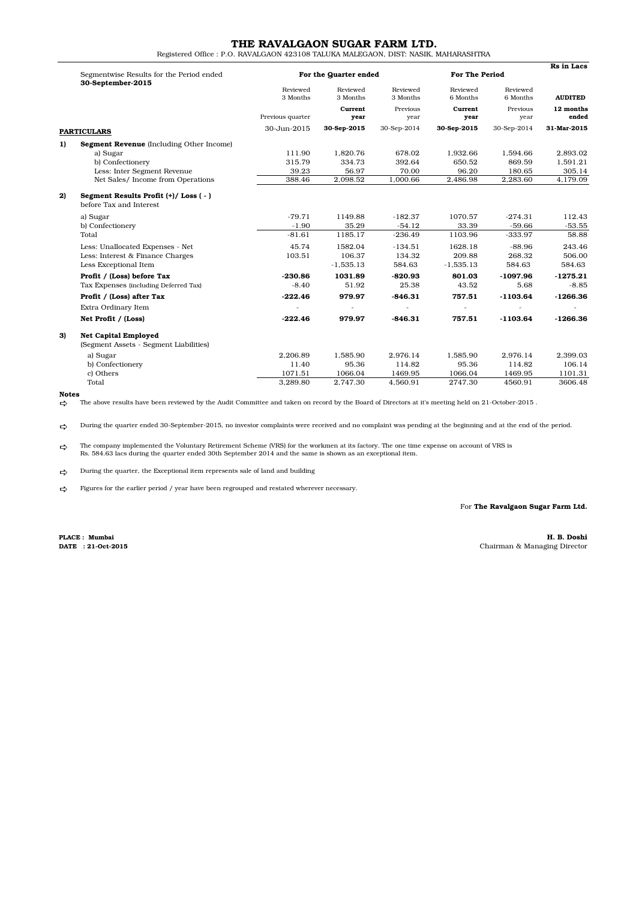# THE RAVALGAON SUGAR FARM LTD.

Registered Office : P.O. RAVALGAON 423108 TALUKA MALEGAON, DIST: NASIK, MAHARASHTRA

|    | Segmentwise Results for the Period ended<br>30-September-2015         |                       | <b>For The Period</b> |                      | <b>Rs</b> in Lacs    |                      |                |
|----|-----------------------------------------------------------------------|-----------------------|-----------------------|----------------------|----------------------|----------------------|----------------|
|    |                                                                       | For the Quarter ended |                       |                      |                      |                      |                |
|    |                                                                       | Reviewed<br>3 Months  | Reviewed<br>3 Months  | Reviewed<br>3 Months | Reviewed<br>6 Months | Reviewed<br>6 Months | <b>AUDITED</b> |
|    |                                                                       |                       | Current               | Previous             | Current              | Previous             | 12 months      |
|    |                                                                       | Previous quarter      | year                  | year                 | year                 | year                 | ended          |
|    | <b>PARTICULARS</b>                                                    | 30-Jun-2015           | 30-Sep-2015           | 30-Sep-2014          | 30-Sep-2015          | 30-Sep-2014          | 31-Mar-2015    |
| 1) | Segment Revenue (Including Other Income)                              |                       |                       |                      |                      |                      |                |
|    | a) Sugar                                                              | 111.90                | 1,820.76              | 678.02               | 1.932.66             | 1,594.66             | 2,893.02       |
|    | b) Confectionery                                                      | 315.79                | 334.73                | 392.64               | 650.52               | 869.59               | 1,591.21       |
|    | Less: Inter Segment Revenue                                           | 39.23                 | 56.97                 | 70.00                | 96.20                | 180.65               | 305.14         |
|    | Net Sales/ Income from Operations                                     | 388.46                | 2,098.52              | 1,000.66             | 2,486.98             | 2,283.60             | 4,179.09       |
| 2) | Segment Results Profit (+)/Loss (-)<br>before Tax and Interest        |                       |                       |                      |                      |                      |                |
|    | a) Sugar                                                              | $-79.71$              | 1149.88               | $-182.37$            | 1070.57              | $-274.31$            | 112.43         |
|    | b) Confectionery                                                      | $-1.90$               | 35.29                 | $-54.12$             | 33.39                | $-59.66$             | $-53.55$       |
|    | Total                                                                 | $-81.61$              | 1185.17               | $-236.49$            | 1103.96              | $-333.97$            | 58.88          |
|    | Less: Unallocated Expenses - Net                                      | 45.74                 | 1582.04               | $-134.51$            | 1628.18              | $-88.96$             | 243.46         |
|    | Less: Interest & Finance Charges                                      | 103.51                | 106.37                | 134.32               | 209.88               | 268.32               | 506.00         |
|    | Less Exceptional Item                                                 |                       | $-1,535.13$           | 584.63               | $-1,535.13$          | 584.63               | 584.63         |
|    | Profit / (Loss) before Tax                                            | $-230.86$             | 1031.89               | $-820.93$            | 801.03               | $-1097.96$           | $-1275.21$     |
|    | Tax Expenses (including Deferred Tax)                                 | $-8.40$               | 51.92                 | 25.38                | 43.52                | 5.68                 | $-8.85$        |
|    | Profit / (Loss) after Tax                                             | $-222.46$             | 979.97                | $-846.31$            | 757.51               | $-1103.64$           | $-1266.36$     |
|    | Extra Ordinary Item                                                   |                       |                       |                      |                      |                      |                |
|    | Net Profit / (Loss)                                                   | $-222.46$             | 979.97                | $-846.31$            | 757.51               | $-1103.64$           | $-1266.36$     |
| 3) | <b>Net Capital Employed</b><br>(Segment Assets - Segment Liabilities) |                       |                       |                      |                      |                      |                |
|    | a) Sugar                                                              | 2,206.89              | 1,585.90              | 2.976.14             | 1,585.90             | 2,976.14             | 2,399.03       |
|    | b) Confectionery                                                      | 11.40                 | 95.36                 | 114.82               | 95.36                | 114.82               | 106.14         |
|    | c) Others                                                             | 1071.51               | 1066.04               | 1469.95              | 1066.04              | 1469.95              | 1101.31        |
|    | Total                                                                 | 3.289.80              | 2.747.30              | 4.560.91             | 2747.30              | 4560.91              | 3606.48        |

### Notes

 $\Rightarrow$ The above results have been reviewed by the Audit Committee and taken on record by the Board of Directors at it's meeting held on 21-October-2015 .

 $\Rightarrow$ During the quarter ended 30-September-2015, no investor complaints were received and no complaint was pending at the beginning and at the end of the period.

 $\Rightarrow$ The company implemented the Voluntary Retirement Scheme (VRS) for the workmen at its factory. The one time expense on account of VRS is<br>Rs. 584.63 lacs during the quarter ended 30th September 2014 and the same is shown as

 $\Rightarrow$ During the quarter, the Exceptional item represents sale of land and building

 $\Rightarrow$ Figures for the earlier period / year have been regrouped and restated wherever necessary.

For The Ravalgaon Sugar Farm Ltd.

PLACE : Mumbai

H. B. Doshi DATE : 21-Oct-2015 Chairman & Managing Director